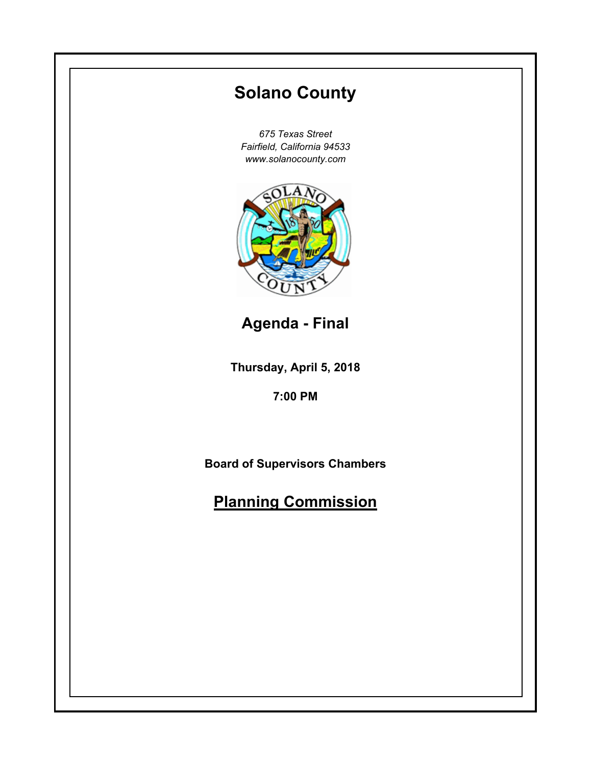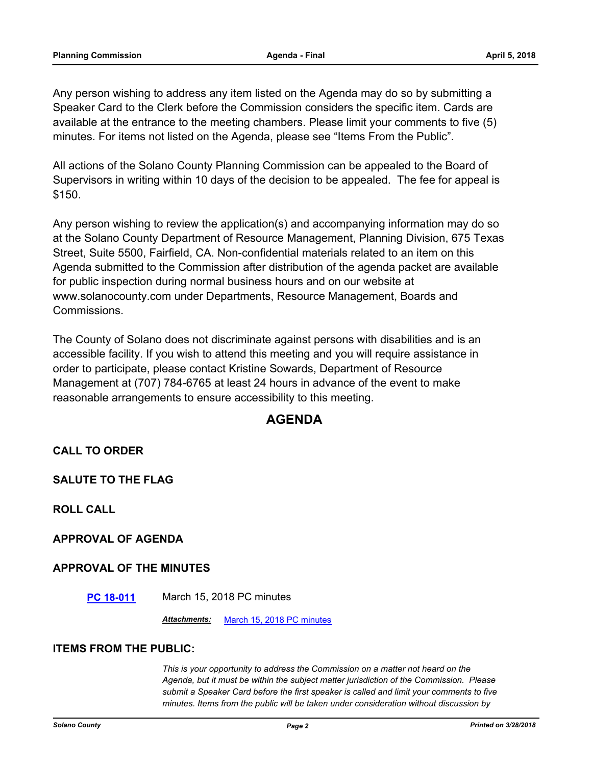Any person wishing to address any item listed on the Agenda may do so by submitting a Speaker Card to the Clerk before the Commission considers the specific item. Cards are available at the entrance to the meeting chambers. Please limit your comments to five (5) minutes. For items not listed on the Agenda, please see "Items From the Public".

All actions of the Solano County Planning Commission can be appealed to the Board of Supervisors in writing within 10 days of the decision to be appealed. The fee for appeal is \$150.

Any person wishing to review the application(s) and accompanying information may do so at the Solano County Department of Resource Management, Planning Division, 675 Texas Street, Suite 5500, Fairfield, CA. Non-confidential materials related to an item on this Agenda submitted to the Commission after distribution of the agenda packet are available for public inspection during normal business hours and on our website at www.solanocounty.com under Departments, Resource Management, Boards and Commissions.

The County of Solano does not discriminate against persons with disabilities and is an accessible facility. If you wish to attend this meeting and you will require assistance in order to participate, please contact Kristine Sowards, Department of Resource Management at (707) 784-6765 at least 24 hours in advance of the event to make reasonable arrangements to ensure accessibility to this meeting.

### **AGENDA**

#### **CALL TO ORDER**

**SALUTE TO THE FLAG**

**ROLL CALL**

**APPROVAL OF AGENDA**

#### **APPROVAL OF THE MINUTES**

**[PC 18-011](#page-3-0)** March 15, 2018 PC minutes

*Attachments:* [March 15, 2018 PC minutes](#page-4-0)

#### **ITEMS FROM THE PUBLIC:**

*This is your opportunity to address the Commission on a matter not heard on the Agenda, but it must be within the subject matter jurisdiction of the Commission. Please submit a Speaker Card before the first speaker is called and limit your comments to five minutes. Items from the public will be taken under consideration without discussion by*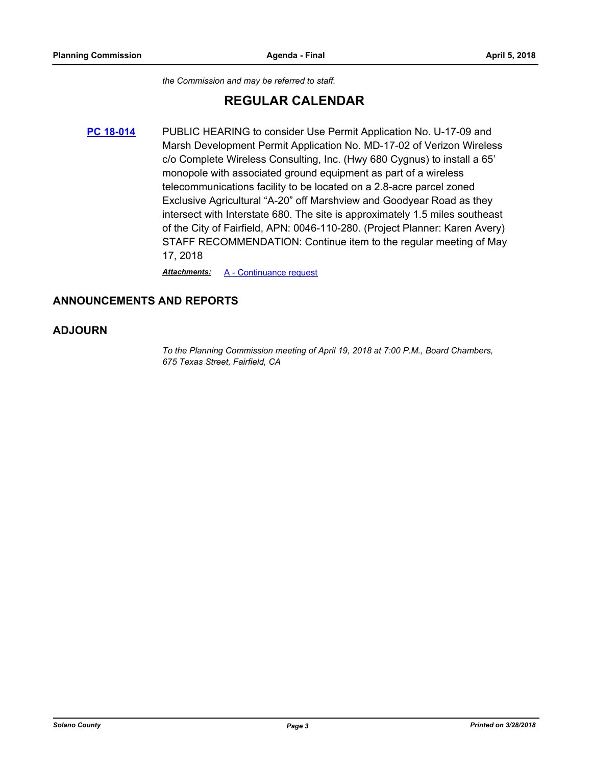*the Commission and may be referred to staff.*

# **REGULAR CALENDAR**

**[PC 18-014](#page-6-0)** PUBLIC HEARING to consider Use Permit Application No. U-17-09 and Marsh Development Permit Application No. MD-17-02 of Verizon Wireless c/o Complete Wireless Consulting, Inc. (Hwy 680 Cygnus) to install a 65' monopole with associated ground equipment as part of a wireless telecommunications facility to be located on a 2.8-acre parcel zoned Exclusive Agricultural "A-20" off Marshview and Goodyear Road as they intersect with Interstate 680. The site is approximately 1.5 miles southeast of the City of Fairfield, APN: 0046-110-280. (Project Planner: Karen Avery) STAFF RECOMMENDATION: Continue item to the regular meeting of May 17, 2018

*Attachments:* [A - Continuance request](#page-7-0)

#### **ANNOUNCEMENTS AND REPORTS**

#### **ADJOURN**

*To the Planning Commission meeting of April 19, 2018 at 7:00 P.M., Board Chambers, 675 Texas Street, Fairfield, CA*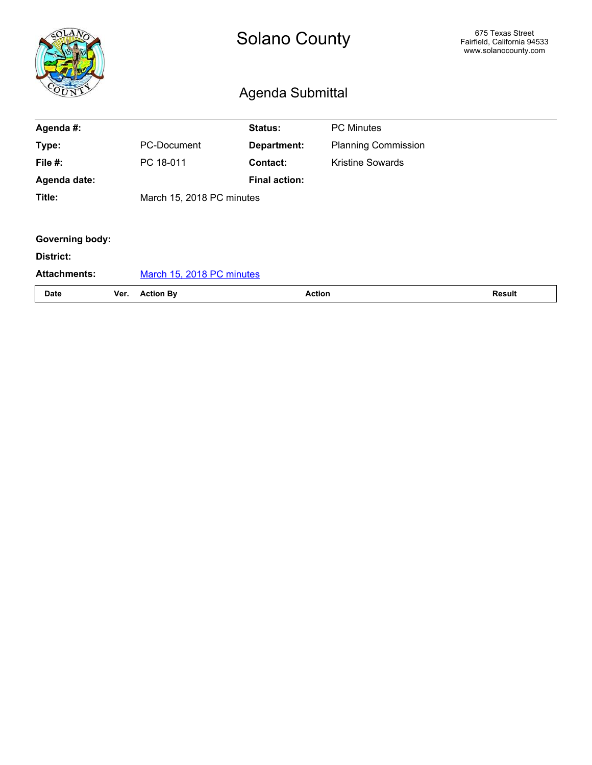<span id="page-3-0"></span>

|                        |      |                           | 675 Texas Street<br>Fairfield, California 94533<br>www.solanocounty.com |                            |  |  |  |  |
|------------------------|------|---------------------------|-------------------------------------------------------------------------|----------------------------|--|--|--|--|
| Agenda #:              |      |                           | <b>Status:</b>                                                          | <b>PC Minutes</b>          |  |  |  |  |
| Type:                  |      | PC-Document               | Department:                                                             | <b>Planning Commission</b> |  |  |  |  |
| File #:                |      | PC 18-011                 | Contact:                                                                | <b>Kristine Sowards</b>    |  |  |  |  |
| Agenda date:           |      |                           | <b>Final action:</b>                                                    |                            |  |  |  |  |
| Title:                 |      | March 15, 2018 PC minutes |                                                                         |                            |  |  |  |  |
|                        |      |                           |                                                                         |                            |  |  |  |  |
| <b>Governing body:</b> |      |                           |                                                                         |                            |  |  |  |  |
| District:              |      |                           |                                                                         |                            |  |  |  |  |
| <b>Attachments:</b>    |      | March 15, 2018 PC minutes |                                                                         |                            |  |  |  |  |
| <b>Date</b>            | Ver. | <b>Action By</b>          | <b>Action</b>                                                           |                            |  |  |  |  |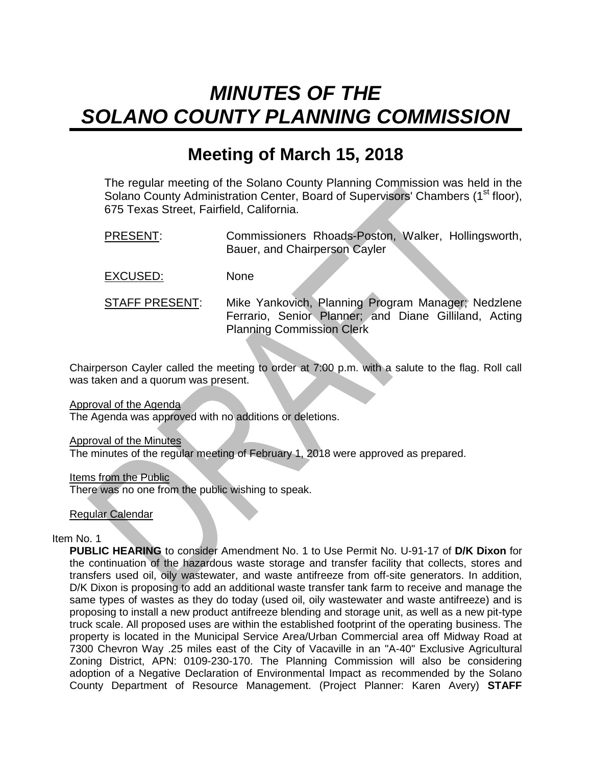# <span id="page-4-0"></span>*MINUTES OF THE SOLANO COUNTY PLANNING COMMISSION*

# **Meeting of March 15, 2018**

The regular meeting of the Solano County Planning Commission was held in the Solano County Administration Center, Board of Supervisors' Chambers (1<sup>st</sup> floor), 675 Texas Street, Fairfield, California.

PRESENT: Commissioners Rhoads-Poston, Walker, Hollingsworth, Bauer, and Chairperson Cayler

EXCUSED: None

STAFF PRESENT: Mike Yankovich, Planning Program Manager; Nedzlene Ferrario, Senior Planner; and Diane Gilliland, Acting Planning Commission Clerk

Chairperson Cayler called the meeting to order at 7:00 p.m. with a salute to the flag. Roll call was taken and a quorum was present.

Approval of the Agenda

The Agenda was approved with no additions or deletions.

**Approval of the Minutes** 

The minutes of the regular meeting of February 1, 2018 were approved as prepared.

Items from the Public

There was no one from the public wishing to speak.

Regular Calendar

Item No. 1

**PUBLIC HEARING** to consider Amendment No. 1 to Use Permit No. U-91-17 of **D/K Dixon** for the continuation of the hazardous waste storage and transfer facility that collects, stores and transfers used oil, oily wastewater, and waste antifreeze from off-site generators. In addition, D/K Dixon is proposing to add an additional waste transfer tank farm to receive and manage the same types of wastes as they do today (used oil, oily wastewater and waste antifreeze) and is proposing to install a new product antifreeze blending and storage unit, as well as a new pit-type truck scale. All proposed uses are within the established footprint of the operating business. The property is located in the Municipal Service Area/Urban Commercial area off Midway Road at 7300 Chevron Way .25 miles east of the City of Vacaville in an "A-40" Exclusive Agricultural Zoning District, APN: 0109-230-170. The Planning Commission will also be considering adoption of a Negative Declaration of Environmental Impact as recommended by the Solano County Department of Resource Management. (Project Planner: Karen Avery) **STAFF**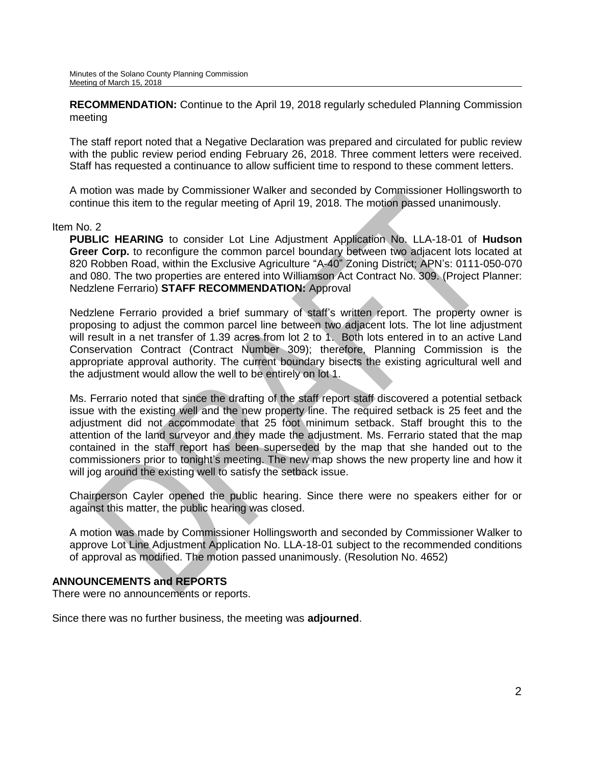**RECOMMENDATION:** Continue to the April 19, 2018 regularly scheduled Planning Commission meeting

The staff report noted that a Negative Declaration was prepared and circulated for public review with the public review period ending February 26, 2018. Three comment letters were received. Staff has requested a continuance to allow sufficient time to respond to these comment letters.

A motion was made by Commissioner Walker and seconded by Commissioner Hollingsworth to continue this item to the regular meeting of April 19, 2018. The motion passed unanimously.

#### Item No. 2

**PUBLIC HEARING** to consider Lot Line Adjustment Application No. LLA-18-01 of **Hudson Greer Corp.** to reconfigure the common parcel boundary between two adjacent lots located at 820 Robben Road, within the Exclusive Agriculture "A-40" Zoning District; APN's: 0111-050-070 and 080. The two properties are entered into Williamson Act Contract No. 309. (Project Planner: Nedzlene Ferrario) **STAFF RECOMMENDATION:** Approval

Nedzlene Ferrario provided a brief summary of staff's written report. The property owner is proposing to adjust the common parcel line between two adjacent lots. The lot line adjustment will result in a net transfer of 1.39 acres from lot 2 to 1. Both lots entered in to an active Land Conservation Contract (Contract Number 309); therefore, Planning Commission is the appropriate approval authority. The current boundary bisects the existing agricultural well and the adjustment would allow the well to be entirely on lot 1.

Ms. Ferrario noted that since the drafting of the staff report staff discovered a potential setback issue with the existing well and the new property line. The required setback is 25 feet and the adjustment did not accommodate that 25 foot minimum setback. Staff brought this to the attention of the land surveyor and they made the adjustment. Ms. Ferrario stated that the map contained in the staff report has been superseded by the map that she handed out to the commissioners prior to tonight's meeting. The new map shows the new property line and how it will jog around the existing well to satisfy the setback issue.

Chairperson Cayler opened the public hearing. Since there were no speakers either for or against this matter, the public hearing was closed.

A motion was made by Commissioner Hollingsworth and seconded by Commissioner Walker to approve Lot Line Adjustment Application No. LLA-18-01 subject to the recommended conditions of approval as modified. The motion passed unanimously. (Resolution No. 4652)

#### **ANNOUNCEMENTS and REPORTS**

There were no announcements or reports.

Since there was no further business, the meeting was **adjourned**.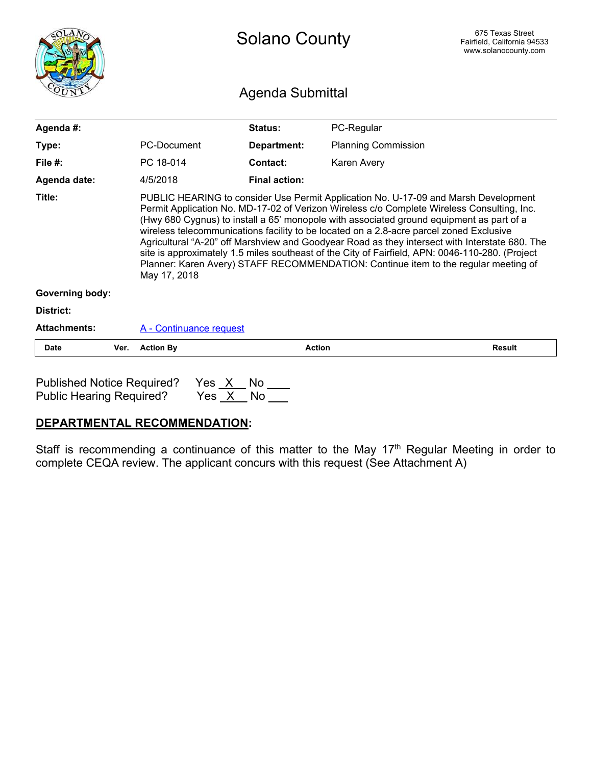<span id="page-6-0"></span>

|                        |      | <b>Solano County</b>                                                                                                                                                                                                                                                                                                                                                                                                                                                                                                                                                                                                                                                                 |                      |                            | 675 Texas Street<br>Fairfield, California 94533<br>www.solanocounty.com |  |  |  |  |
|------------------------|------|--------------------------------------------------------------------------------------------------------------------------------------------------------------------------------------------------------------------------------------------------------------------------------------------------------------------------------------------------------------------------------------------------------------------------------------------------------------------------------------------------------------------------------------------------------------------------------------------------------------------------------------------------------------------------------------|----------------------|----------------------------|-------------------------------------------------------------------------|--|--|--|--|
|                        |      | <b>Agenda Submittal</b>                                                                                                                                                                                                                                                                                                                                                                                                                                                                                                                                                                                                                                                              |                      |                            |                                                                         |  |  |  |  |
| Agenda #:              |      |                                                                                                                                                                                                                                                                                                                                                                                                                                                                                                                                                                                                                                                                                      | Status:              | PC-Regular                 |                                                                         |  |  |  |  |
| Type:                  |      | PC-Document                                                                                                                                                                                                                                                                                                                                                                                                                                                                                                                                                                                                                                                                          | Department:          | <b>Planning Commission</b> |                                                                         |  |  |  |  |
| File $#$ :             |      | PC 18-014                                                                                                                                                                                                                                                                                                                                                                                                                                                                                                                                                                                                                                                                            | Contact:             | Karen Avery                |                                                                         |  |  |  |  |
| Agenda date:           |      | 4/5/2018                                                                                                                                                                                                                                                                                                                                                                                                                                                                                                                                                                                                                                                                             | <b>Final action:</b> |                            |                                                                         |  |  |  |  |
| Title:                 |      | PUBLIC HEARING to consider Use Permit Application No. U-17-09 and Marsh Development<br>Permit Application No. MD-17-02 of Verizon Wireless c/o Complete Wireless Consulting, Inc.<br>(Hwy 680 Cygnus) to install a 65' monopole with associated ground equipment as part of a<br>wireless telecommunications facility to be located on a 2.8-acre parcel zoned Exclusive<br>Agricultural "A-20" off Marshview and Goodyear Road as they intersect with Interstate 680. The<br>site is approximately 1.5 miles southeast of the City of Fairfield, APN: 0046-110-280. (Project<br>Planner: Karen Avery) STAFF RECOMMENDATION: Continue item to the regular meeting of<br>May 17, 2018 |                      |                            |                                                                         |  |  |  |  |
| <b>Governing body:</b> |      |                                                                                                                                                                                                                                                                                                                                                                                                                                                                                                                                                                                                                                                                                      |                      |                            |                                                                         |  |  |  |  |
| District:              |      |                                                                                                                                                                                                                                                                                                                                                                                                                                                                                                                                                                                                                                                                                      |                      |                            |                                                                         |  |  |  |  |
| <b>Attachments:</b>    |      | A - Continuance request                                                                                                                                                                                                                                                                                                                                                                                                                                                                                                                                                                                                                                                              |                      |                            |                                                                         |  |  |  |  |
| Date                   | Ver. | <b>Action By</b>                                                                                                                                                                                                                                                                                                                                                                                                                                                                                                                                                                                                                                                                     | <b>Action</b>        |                            | <b>Result</b>                                                           |  |  |  |  |
|                        |      |                                                                                                                                                                                                                                                                                                                                                                                                                                                                                                                                                                                                                                                                                      |                      |                            |                                                                         |  |  |  |  |

Published Notice Required? Yes <u>X</u> No \_\_\_<br>Public Hearing Required? Yes <u>X</u> No \_\_\_ Public Hearing Required?

## **DEPARTMENTAL RECOMMENDATION**:

Staff is recommending a continuance of this matter to the May 17<sup>th</sup> Regular Meeting in order to complete CEQA review. The applicant concurs with this request (See Attachment A)